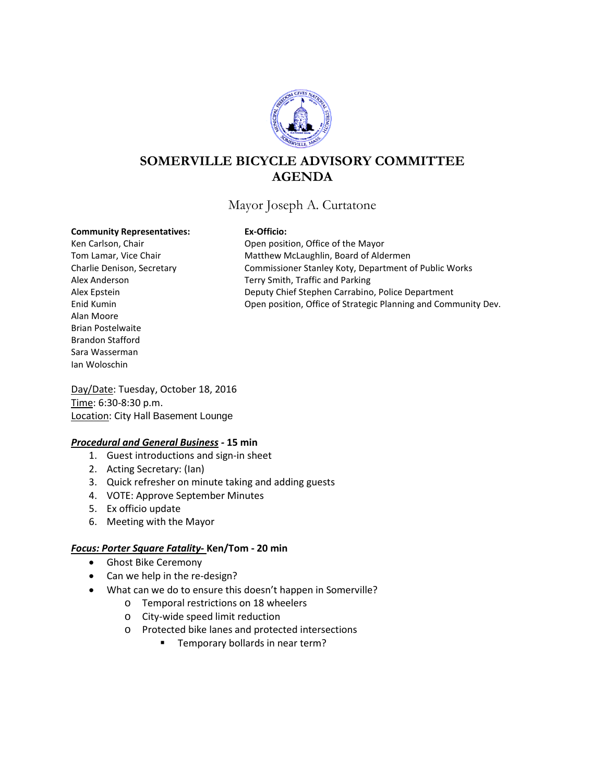

# **SOMERVILLE BICYCLE ADVISORY COMMITTEE AGENDA**

## Mayor Joseph A. Curtatone

#### **Community Representatives: Ex-Officio:**

Alan Moore Brian Postelwaite Brandon Stafford Sara Wasserman Ian Woloschin

Ken Carlson, Chair **New York Chair** Open position, Office of the Mayor Tom Lamar, Vice Chair **Matthew McLaughlin, Board of Aldermen** Charlie Denison, Secretary Commissioner Stanley Koty, Department of Public Works Alex Anderson Terry Smith, Traffic and Parking Alex Epstein **Deputy Chief Stephen Carrabino, Police Department** Enid Kumin Open position, Office of Strategic Planning and Community Dev.

Day/Date: Tuesday, October 18, 2016 Time: 6:30-8:30 p.m. Location: City Hall Basement Lounge

## *Procedural and General Business -* **15 min**

- 1. Guest introductions and sign-in sheet
- 2. Acting Secretary: (Ian)
- 3. Quick refresher on minute taking and adding guests
- 4. VOTE: Approve September Minutes
- 5. Ex officio update
- 6. Meeting with the Mayor

## *Focus: Porter Square Fatality-* **Ken/Tom - 20 min**

- Ghost Bike Ceremony
- Can we help in the re-design?
- What can we do to ensure this doesn't happen in Somerville?
	- o Temporal restrictions on 18 wheelers
	- o City-wide speed limit reduction
	- o Protected bike lanes and protected intersections
		- **Temporary bollards in near term?**